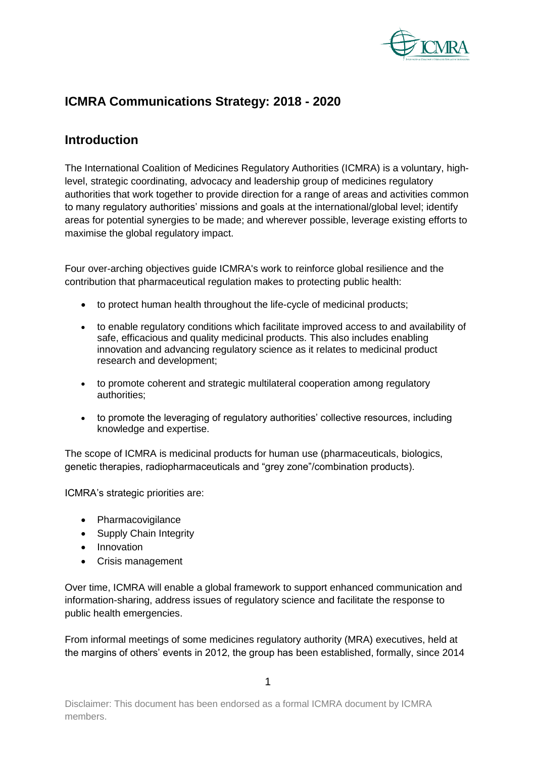

# **ICMRA Communications Strategy: 2018 - 2020**

### **Introduction**

The International Coalition of Medicines Regulatory Authorities (ICMRA) is a voluntary, highlevel, strategic coordinating, advocacy and leadership group of medicines regulatory authorities that work together to provide direction for a range of areas and activities common to many regulatory authorities' missions and goals at the international/global level; identify areas for potential synergies to be made; and wherever possible, leverage existing efforts to maximise the global regulatory impact.

Four over-arching objectives guide ICMRA's work to reinforce global resilience and the contribution that pharmaceutical regulation makes to protecting public health:

- to protect human health throughout the life-cycle of medicinal products;
- to enable regulatory conditions which facilitate improved access to and availability of safe, efficacious and quality medicinal products. This also includes enabling innovation and advancing regulatory science as it relates to medicinal product research and development;
- to promote coherent and strategic multilateral cooperation among regulatory authorities;
- to promote the leveraging of regulatory authorities' collective resources, including knowledge and expertise.

The scope of ICMRA is medicinal products for human use (pharmaceuticals, biologics, genetic therapies, radiopharmaceuticals and "grey zone"/combination products).

ICMRA's strategic priorities are:

- Pharmacovigilance
- Supply Chain Integrity
- Innovation
- Crisis management

Over time, ICMRA will enable a global framework to support enhanced communication and information-sharing, address issues of regulatory science and facilitate the response to public health emergencies.

From informal meetings of some medicines regulatory authority (MRA) executives, held at the margins of others' events in 2012, the group has been established, formally, since 2014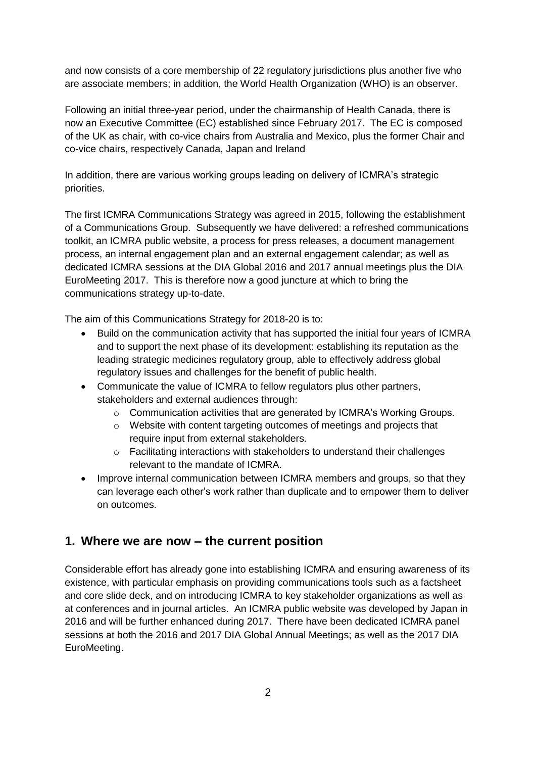and now consists of a core membership of 22 regulatory jurisdictions plus another five who are associate members; in addition, the World Health Organization (WHO) is an observer.

Following an initial three-year period, under the chairmanship of Health Canada, there is now an Executive Committee (EC) established since February 2017. The EC is composed of the UK as chair, with co-vice chairs from Australia and Mexico, plus the former Chair and co-vice chairs, respectively Canada, Japan and Ireland

In addition, there are various working groups leading on delivery of ICMRA's strategic priorities.

The first ICMRA Communications Strategy was agreed in 2015, following the establishment of a Communications Group. Subsequently we have delivered: a refreshed communications toolkit, an ICMRA public website, a process for press releases, a document management process, an internal engagement plan and an external engagement calendar; as well as dedicated ICMRA sessions at the DIA Global 2016 and 2017 annual meetings plus the DIA EuroMeeting 2017. This is therefore now a good juncture at which to bring the communications strategy up-to-date.

The aim of this Communications Strategy for 2018-20 is to:

- Build on the communication activity that has supported the initial four years of ICMRA and to support the next phase of its development: establishing its reputation as the leading strategic medicines regulatory group, able to effectively address global regulatory issues and challenges for the benefit of public health.
- Communicate the value of ICMRA to fellow regulators plus other partners, stakeholders and external audiences through:
	- o Communication activities that are generated by ICMRA's Working Groups.
	- o Website with content targeting outcomes of meetings and projects that require input from external stakeholders.
	- o Facilitating interactions with stakeholders to understand their challenges relevant to the mandate of ICMRA.
- Improve internal communication between ICMRA members and groups, so that they can leverage each other's work rather than duplicate and to empower them to deliver on outcomes.

### **1. Where we are now – the current position**

Considerable effort has already gone into establishing ICMRA and ensuring awareness of its existence, with particular emphasis on providing communications tools such as a factsheet and core slide deck, and on introducing ICMRA to key stakeholder organizations as well as at conferences and in journal articles. An ICMRA public website was developed by Japan in 2016 and will be further enhanced during 2017. There have been dedicated ICMRA panel sessions at both the 2016 and 2017 DIA Global Annual Meetings; as well as the 2017 DIA EuroMeeting.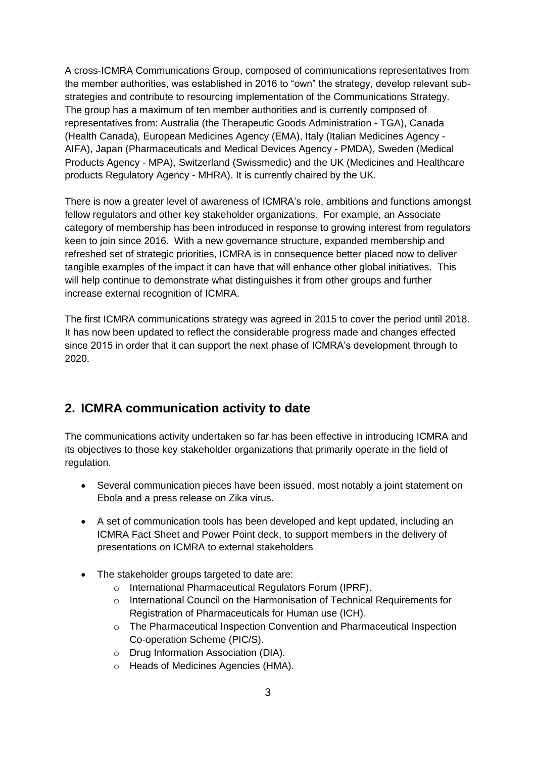A cross-ICMRA Communications Group, composed of communications representatives from the member authorities, was established in 2016 to "own" the strategy, develop relevant substrategies and contribute to resourcing implementation of the Communications Strategy. The group has a maximum of ten member authorities and is currently composed of representatives from: Australia (the Therapeutic Goods Administration - TGA), Canada (Health Canada), European Medicines Agency (EMA), Italy (Italian Medicines Agency - AIFA), Japan (Pharmaceuticals and Medical Devices Agency - PMDA), Sweden (Medical Products Agency - MPA), Switzerland (Swissmedic) and the UK (Medicines and Healthcare products Regulatory Agency - MHRA). It is currently chaired by the UK.

There is now a greater level of awareness of ICMRA's role, ambitions and functions amongst fellow regulators and other key stakeholder organizations. For example, an Associate category of membership has been introduced in response to growing interest from regulators keen to join since 2016. With a new governance structure, expanded membership and refreshed set of strategic priorities, ICMRA is in consequence better placed now to deliver tangible examples of the impact it can have that will enhance other global initiatives. This will help continue to demonstrate what distinguishes it from other groups and further increase external recognition of ICMRA.

The first ICMRA communications strategy was agreed in 2015 to cover the period until 2018. It has now been updated to reflect the considerable progress made and changes effected since 2015 in order that it can support the next phase of ICMRA's development through to 2020.

### **2. ICMRA communication activity to date**

The communications activity undertaken so far has been effective in introducing ICMRA and its objectives to those key stakeholder organizations that primarily operate in the field of regulation.

- Several communication pieces have been issued, most notably a joint statement on Ebola and a press release on Zika virus.
- A set of communication tools has been developed and kept updated, including an ICMRA Fact Sheet and Power Point deck, to support members in the delivery of presentations on ICMRA to external stakeholders
- The stakeholder groups targeted to date are:
	- o International Pharmaceutical Regulators Forum (IPRF).
	- $\circ$  International Council on the Harmonisation of Technical Requirements for Registration of Pharmaceuticals for Human use (ICH).
	- o The Pharmaceutical Inspection Convention and Pharmaceutical Inspection Co-operation Scheme (PIC/S).
	- o Drug Information Association (DIA).
	- o Heads of Medicines Agencies (HMA).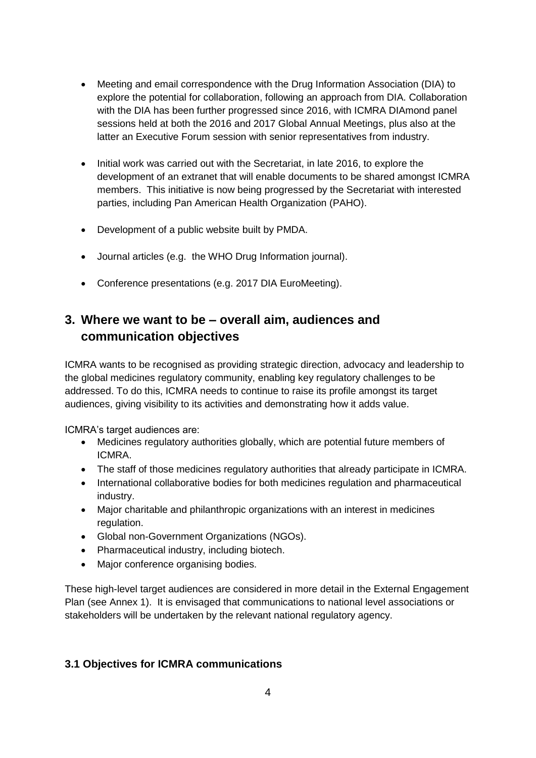- Meeting and email correspondence with the Drug Information Association (DIA) to explore the potential for collaboration, following an approach from DIA. Collaboration with the DIA has been further progressed since 2016, with ICMRA DIAmond panel sessions held at both the 2016 and 2017 Global Annual Meetings, plus also at the latter an Executive Forum session with senior representatives from industry.
- Initial work was carried out with the Secretariat, in late 2016, to explore the development of an extranet that will enable documents to be shared amongst ICMRA members. This initiative is now being progressed by the Secretariat with interested parties, including Pan American Health Organization (PAHO).
- Development of a public website built by PMDA.
- Journal articles (e.g. the WHO Drug Information journal).
- Conference presentations (e.g. 2017 DIA EuroMeeting).

# **3. Where we want to be – overall aim, audiences and communication objectives**

ICMRA wants to be recognised as providing strategic direction, advocacy and leadership to the global medicines regulatory community, enabling key regulatory challenges to be addressed. To do this, ICMRA needs to continue to raise its profile amongst its target audiences, giving visibility to its activities and demonstrating how it adds value.

ICMRA's target audiences are:

- Medicines regulatory authorities globally, which are potential future members of ICMRA.
- The staff of those medicines regulatory authorities that already participate in ICMRA.
- International collaborative bodies for both medicines regulation and pharmaceutical industry.
- Major charitable and philanthropic organizations with an interest in medicines regulation.
- Global non-Government Organizations (NGOs).
- Pharmaceutical industry, including biotech.
- Major conference organising bodies.

These high-level target audiences are considered in more detail in the External Engagement Plan (see Annex 1). It is envisaged that communications to national level associations or stakeholders will be undertaken by the relevant national regulatory agency.

#### **3.1 Objectives for ICMRA communications**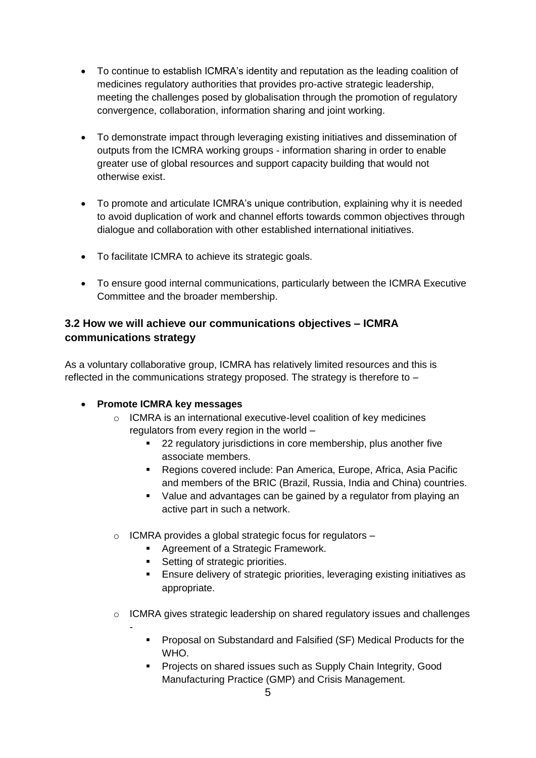- To continue to establish ICMRA's identity and reputation as the leading coalition of medicines regulatory authorities that provides pro-active strategic leadership, meeting the challenges posed by globalisation through the promotion of regulatory convergence, collaboration, information sharing and joint working.
- To demonstrate impact through leveraging existing initiatives and dissemination of outputs from the ICMRA working groups - information sharing in order to enable greater use of global resources and support capacity building that would not otherwise exist.
- To promote and articulate ICMRA's unique contribution, explaining why it is needed to avoid duplication of work and channel efforts towards common objectives through dialogue and collaboration with other established international initiatives.
- To facilitate ICMRA to achieve its strategic goals.
- To ensure good internal communications, particularly between the ICMRA Executive Committee and the broader membership.

### **3.2 How we will achieve our communications objectives – ICMRA communications strategy**

As a voluntary collaborative group, ICMRA has relatively limited resources and this is reflected in the communications strategy proposed. The strategy is therefore to –

### **Promote ICMRA key messages**

- o ICMRA is an international executive-level coalition of key medicines regulators from every region in the world –
	- **22 regulatory jurisdictions in core membership, plus another five** associate members.
	- Regions covered include: Pan America, Europe, Africa, Asia Pacific and members of the BRIC (Brazil, Russia, India and China) countries.
	- Value and advantages can be gained by a regulator from playing an active part in such a network.
- o ICMRA provides a global strategic focus for regulators
	- **Agreement of a Strategic Framework.**
	- **Setting of strategic priorities.**
	- Ensure delivery of strategic priorities, leveraging existing initiatives as appropriate.
- o ICMRA gives strategic leadership on shared regulatory issues and challenges -
	- **Proposal on Substandard and Falsified (SF) Medical Products for the** WHO.
	- **Projects on shared issues such as Supply Chain Integrity, Good** Manufacturing Practice (GMP) and Crisis Management.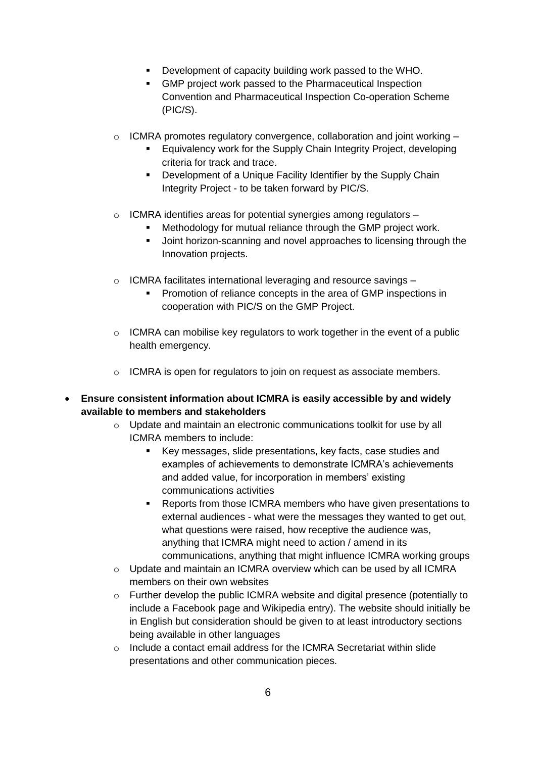- Development of capacity building work passed to the WHO.
- GMP project work passed to the Pharmaceutical Inspection Convention and Pharmaceutical Inspection Co-operation Scheme (PIC/S).
- $\circ$  ICMRA promotes regulatory convergence, collaboration and joint working  $-$ 
	- Equivalency work for the Supply Chain Integrity Project, developing criteria for track and trace.
	- **-** Development of a Unique Facility Identifier by the Supply Chain Integrity Project - to be taken forward by PIC/S.
- o ICMRA identifies areas for potential synergies among regulators
	- **Methodology for mutual reliance through the GMP project work.**
	- **Joint horizon-scanning and novel approaches to licensing through the** Innovation projects.
- o ICMRA facilitates international leveraging and resource savings
	- Promotion of reliance concepts in the area of GMP inspections in cooperation with PIC/S on the GMP Project.
- $\circ$  ICMRA can mobilise key regulators to work together in the event of a public health emergency.
- o ICMRA is open for regulators to join on request as associate members.
- **Ensure consistent information about ICMRA is easily accessible by and widely available to members and stakeholders**
	- o Update and maintain an electronic communications toolkit for use by all ICMRA members to include:
		- Key messages, slide presentations, key facts, case studies and examples of achievements to demonstrate ICMRA's achievements and added value, for incorporation in members' existing communications activities
		- **Reports from those ICMRA members who have given presentations to** external audiences - what were the messages they wanted to get out, what questions were raised, how receptive the audience was, anything that ICMRA might need to action / amend in its communications, anything that might influence ICMRA working groups
	- $\circ$  Update and maintain an ICMRA overview which can be used by all ICMRA members on their own websites
	- o Further develop the public ICMRA website and digital presence (potentially to include a Facebook page and Wikipedia entry). The website should initially be in English but consideration should be given to at least introductory sections being available in other languages
	- o Include a contact email address for the ICMRA Secretariat within slide presentations and other communication pieces.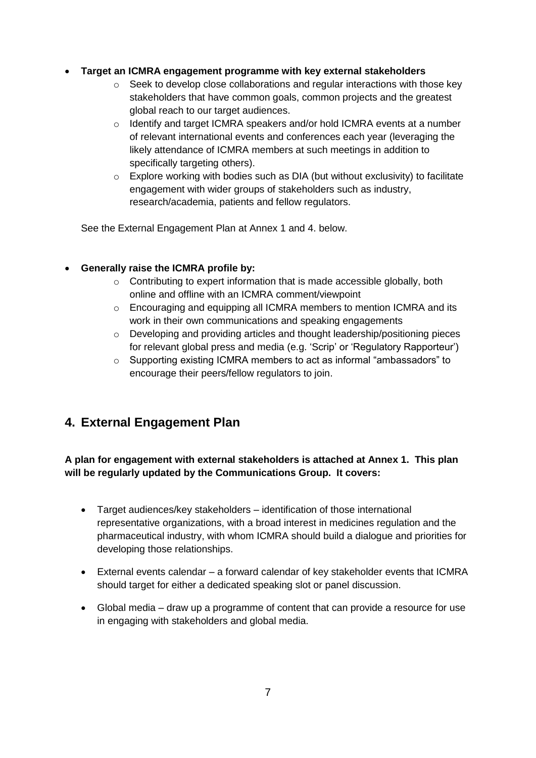#### **Target an ICMRA engagement programme with key external stakeholders**

- o Seek to develop close collaborations and regular interactions with those key stakeholders that have common goals, common projects and the greatest global reach to our target audiences.
- $\circ$  Identify and target ICMRA speakers and/or hold ICMRA events at a number of relevant international events and conferences each year (leveraging the likely attendance of ICMRA members at such meetings in addition to specifically targeting others).
- o Explore working with bodies such as DIA (but without exclusivity) to facilitate engagement with wider groups of stakeholders such as industry, research/academia, patients and fellow regulators.

See the External Engagement Plan at Annex 1 and 4. below.

### **Generally raise the ICMRA profile by:**

- o Contributing to expert information that is made accessible globally, both online and offline with an ICMRA comment/viewpoint
- $\circ$  Encouraging and equipping all ICMRA members to mention ICMRA and its work in their own communications and speaking engagements
- $\circ$  Developing and providing articles and thought leadership/positioning pieces for relevant global press and media (e.g. 'Scrip' or 'Regulatory Rapporteur')
- o Supporting existing ICMRA members to act as informal "ambassadors" to encourage their peers/fellow regulators to join.

# **4. External Engagement Plan**

**A plan for engagement with external stakeholders is attached at Annex 1. This plan will be regularly updated by the Communications Group. It covers:**

- Target audiences/key stakeholders identification of those international representative organizations, with a broad interest in medicines regulation and the pharmaceutical industry, with whom ICMRA should build a dialogue and priorities for developing those relationships.
- External events calendar a forward calendar of key stakeholder events that ICMRA should target for either a dedicated speaking slot or panel discussion.
- Global media draw up a programme of content that can provide a resource for use in engaging with stakeholders and global media.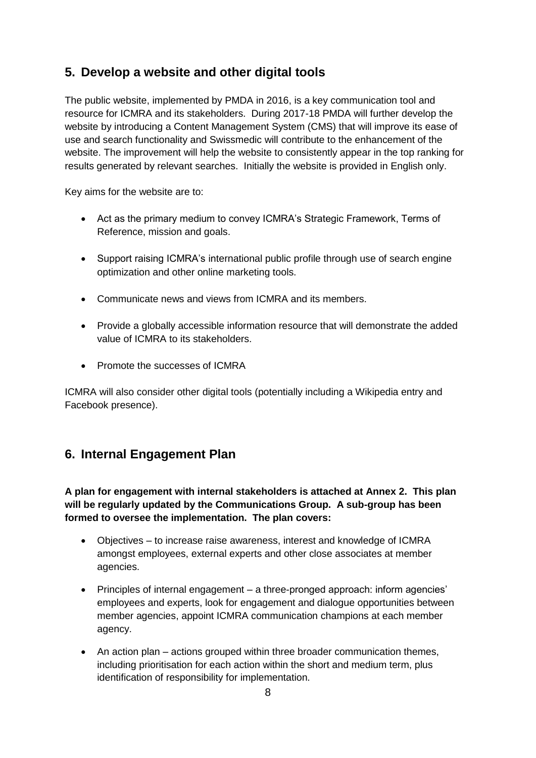# **5. Develop a website and other digital tools**

The public website, implemented by PMDA in 2016, is a key communication tool and resource for ICMRA and its stakeholders. During 2017-18 PMDA will further develop the website by introducing a Content Management System (CMS) that will improve its ease of use and search functionality and Swissmedic will contribute to the enhancement of the website. The improvement will help the website to consistently appear in the top ranking for results generated by relevant searches. Initially the website is provided in English only.

Key aims for the website are to:

- Act as the primary medium to convey ICMRA's Strategic Framework, Terms of Reference, mission and goals.
- Support raising ICMRA's international public profile through use of search engine optimization and other online marketing tools.
- Communicate news and views from ICMRA and its members.
- Provide a globally accessible information resource that will demonstrate the added value of ICMRA to its stakeholders.
- Promote the successes of ICMRA

ICMRA will also consider other digital tools (potentially including a Wikipedia entry and Facebook presence).

# **6. Internal Engagement Plan**

**A plan for engagement with internal stakeholders is attached at Annex 2. This plan will be regularly updated by the Communications Group. A sub-group has been formed to oversee the implementation. The plan covers:**

- Objectives to increase raise awareness, interest and knowledge of ICMRA amongst employees, external experts and other close associates at member agencies.
- Principles of internal engagement a three-pronged approach: inform agencies' employees and experts, look for engagement and dialogue opportunities between member agencies, appoint ICMRA communication champions at each member agency.
- An action plan actions grouped within three broader communication themes, including prioritisation for each action within the short and medium term, plus identification of responsibility for implementation.